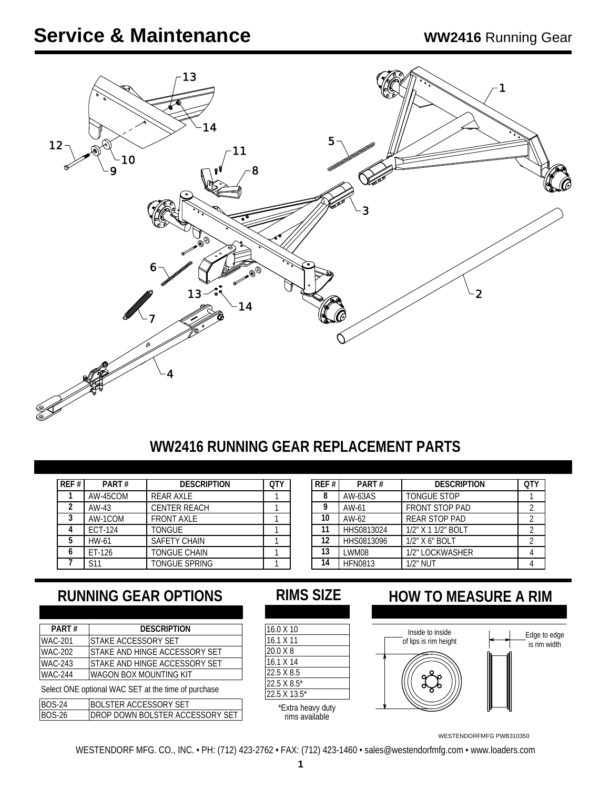

### **WW2416 RUNNING GEAR REPLACEMENT PARTS**

| REF# | PART#          | <b>DESCRIPTION</b>   | OT) |
|------|----------------|----------------------|-----|
|      | AW-45COM       | <b>REAR AXLE</b>     |     |
| 2    | AW-43          | <b>CENTER REACH</b>  |     |
| 3    | AW-1COM        | <b>FRONT AXLE</b>    |     |
|      | <b>ECT-124</b> | <b>TONGUE</b>        |     |
| 5    | HW-61          | <b>SAFETY CHAIN</b>  |     |
| h    | ET-126         | <b>TONGUE CHAIN</b>  |     |
|      | S11            | <b>TONGUE SPRING</b> |     |

| REF # | PART#          | <b>DESCRIPTION</b>    | <b>OTY</b> |
|-------|----------------|-----------------------|------------|
| 8     | <b>AW-63AS</b> | <b>TONGUE STOP</b>    |            |
| g     | AW-61          | <b>FRONT STOP PAD</b> |            |
| 10    | AW-62          | <b>REAR STOP PAD</b>  |            |
| 11    | HHS0813024     | 1/2" X 1 1/2" BOLT    |            |
| 12    | HHS0813096     | 1/2" X 6" BOLT        |            |
| 13    | LWM08          | 1/2" LOCKWASHER       |            |
| 14    | <b>HFN0813</b> | $1/2$ " NUT           |            |

# **RUNNING GEAR OPTIONS RIMS SIZE HOW TO MEASURE A RIM**

| PART#          | <b>DESCRIPTION</b>                                  |
|----------------|-----------------------------------------------------|
| <b>WAC-201</b> | STAKE ACCESSORY SET                                 |
| <b>WAC-202</b> | STAKE AND HINGE ACCESSORY SET                       |
| <b>WAC-243</b> | STAKE AND HINGE ACCESSORY SET                       |
| <b>WAC-244</b> | IWAGON BOX MOUNTING KIT                             |
|                | Select ONE optional WAC SET at the time of purchase |
| <b>BOS-24</b>  | BOLSTER ACCESSORY SET                               |

| <b>BOS-24</b> | IBOLSTER ACCESSORY SET           | *Extra heavy duty |
|---------------|----------------------------------|-------------------|
| <b>BOS-26</b> | IDROP DOWN BOLSTER ACCESSORY SET | rims available    |

| 16.0 X 10         |
|-------------------|
| 16.1 X 11         |
| 20.0 X 8          |
| 16.1 X 14         |
| 22.5 X 8.5        |
| 22.5 X 8.5*       |
| 22.5 X 13.5*      |
| *Extra heavy duty |

rims available



WESTENDORFMFG PWB310350

WESTENDORF MFG. CO., INC. • PH: (712) 423-2762 • FAX: (712) 423-1460 • sales@westendorfmfg.com • www.loaders.com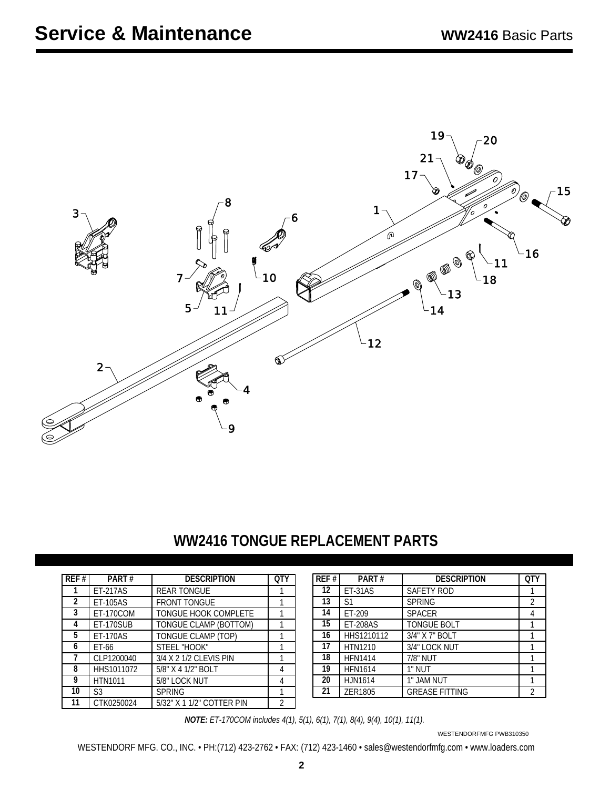

### **WW2416 TONGUE REPLACEMENT PARTS**

| REF#           | PART#            | <b>DESCRIPTION</b>          | <b>OTY</b> |
|----------------|------------------|-----------------------------|------------|
|                | <b>ET-217AS</b>  | <b>REAR TONGUE</b>          |            |
| $\overline{2}$ | ET-105AS         | <b>FRONT TONGUE</b>         |            |
| 3              | <b>ET-170COM</b> | <b>TONGUE HOOK COMPLETE</b> |            |
| 4              | ET-170SUB        | TONGUE CLAMP (BOTTOM)       |            |
| 5              | <b>ET-170AS</b>  | TONGUE CLAMP (TOP)          |            |
| 6              | ET-66            | STEEL "HOOK"                |            |
| 7              | CLP1200040       | 3/4 X 2 1/2 CLEVIS PIN      |            |
| 8              | HHS1011072       | 5/8" X 4 1/2" BOLT          |            |
| 9              | <b>HTN1011</b>   | 5/8" LOCK NUT               |            |
| 10             | S3               | <b>SPRING</b>               |            |
| 11             | CTK0250024       | 5/32" X 1 1/2" COTTER PIN   | 2          |

| REF # | PART#           | <b>DESCRIPTION</b>          | <b>QTY</b> | REF# | PART#           | <b>DESCRIPTION</b>    | <b>QTY</b> |
|-------|-----------------|-----------------------------|------------|------|-----------------|-----------------------|------------|
|       | ET-217AS        | <b>REAR TONGUE</b>          |            | 12   | ET-31AS         | SAFETY ROD            |            |
|       | ET-105AS        | <b>FRONT TONGUE</b>         |            | 13   | <sup>S1</sup>   | <b>SPRING</b>         |            |
| 3     | ET-170COM       | <b>TONGUE HOOK COMPLETE</b> |            | 14   | ET-209          | <b>SPACER</b>         |            |
| 4     | ET-170SUB       | TONGUE CLAMP (BOTTOM)       |            | 15   | <b>ET-208AS</b> | <b>TONGUE BOLT</b>    |            |
| 5     | <b>ET-170AS</b> | TONGUE CLAMP (TOP)          |            | 16   | HHS1210112      | 3/4" X 7" BOLT        |            |
| b     | ET-66           | STEEL "HOOK"                |            | 17   | HTN1210         | 3/4" LOCK NUT         |            |
|       | CLP1200040      | 3/4 X 2 1/2 CLEVIS PIN      |            | 18   | <b>HFN1414</b>  | 7/8" NUT              |            |
| 8     | HHS1011072      | 5/8" X 4 1/2" BOLT          | 4          | 19   | <b>HFN1614</b>  | 1" NUT                |            |
| 9     | <b>HTN1011</b>  | 5/8" LOCK NUT               | 4          | 20   | <b>HJN1614</b>  | 1" JAM NUT            |            |
| 10    | S <sub>3</sub>  | <b>SPRING</b>               |            | 21   | ZER1805         | <b>GREASE FITTING</b> | C          |

*NOTE: ET-170COM includes 4(1), 5(1), 6(1), 7(1), 8(4), 9(4), 10(1), 11(1).*

WESTENDORFMFG PWB310350

WESTENDORF MFG. CO., INC. • PH:(712) 423-2762 • FAX: (712) 423-1460 • sales@westendorfmfg.com • www.loaders.com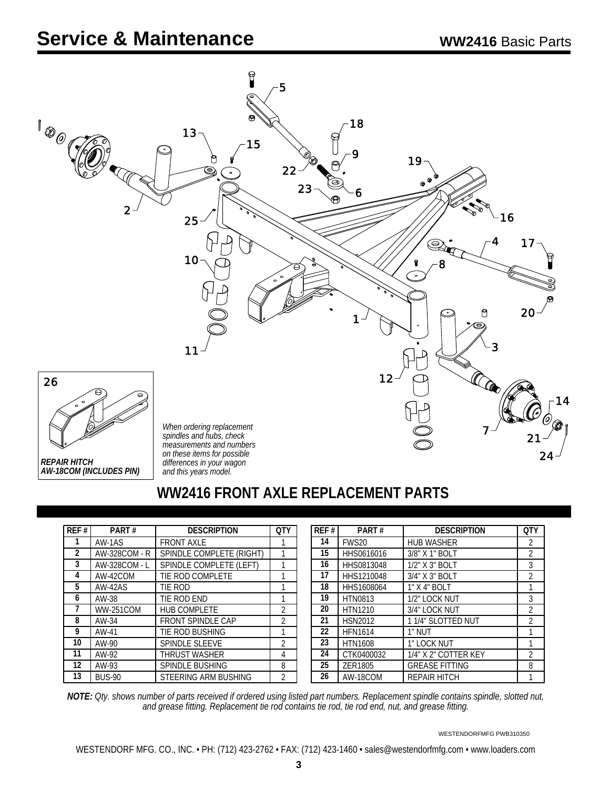

#### **WW2416 FRONT AXLE REPLACEMENT PARTS**

| REF#           | PART#            | <b>DESCRIPTION</b>       | OТ             |
|----------------|------------------|--------------------------|----------------|
| 1              | AW-1AS           | <b>FRONT AXLE</b>        |                |
| $\overline{2}$ | AW-328COM - R    | SPINDLE COMPLETE (RIGHT) |                |
| 3              | AW-328COM - L    | SPINDLE COMPLETE (LEFT)  |                |
| 4              | AW-42COM         | TIE ROD COMPLETE         |                |
| 5              | $AW-42AS$        | TIE ROD                  |                |
| 6              | AW-38            | TIE ROD END              | 1              |
| 7              | <b>WW-251COM</b> | <b>HUB COMPLETE</b>      | $\overline{2}$ |
| 8              | AW-34            | <b>FRONT SPINDLE CAP</b> | $\overline{2}$ |
| 9              | AW-41            | TIE ROD BUSHING          | 1              |
| 10             | AW-90            | <b>SPINDLE SLEEVE</b>    | 2              |
| 11             | AW-92            | THRUST WASHER            | 4              |
| 12             | AW-93            | <b>SPINDLE BUSHING</b>   | 8              |
| 13             | <b>BUS-90</b>    | STEERING ARM BUSHING     | $\overline{2}$ |

| REF# | PART#             | <b>DESCRIPTION</b>    | <b>OTY</b>     |
|------|-------------------|-----------------------|----------------|
| 14   | FWS <sub>20</sub> | <b>HUB WASHER</b>     | $\overline{2}$ |
| 15   | HHS0616016        | 3/8" X 1" BOLT        | $\overline{2}$ |
| 16   | HHS0813048        | 1/2" X 3" BOLT        | 3              |
| 17   | HHS1210048        | 3/4" X 3" BOLT        | 2              |
| 18   | HHS1608064        | 1" X 4" BOLT          | 1              |
| 19   | HTN0813           | 1/2" LOCK NUT         | 3              |
| 20   | <b>HTN1210</b>    | 3/4" LOCK NUT         | 2              |
| 21   | <b>HSN2012</b>    | 1 1/4" SLOTTED NUT    | $\overline{2}$ |
| 22   | <b>HFN1614</b>    | 1" NUT                |                |
| 23   | <b>HTN1608</b>    | 1" LOCK NUT           |                |
| 24   | CTK0400032        | 1/4" X 2" COTTER KEY  | 2              |
| 25   | ZER1805           | <b>GREASE FITTING</b> | 8              |
| 26   | AW-18COM          | <b>REPAIR HITCH</b>   |                |

*NOTE: Qty. shows number of parts received if ordered using listed part numbers. Replacement spindle contains spindle, slotted nut, and grease fitting. Replacement tie rod contains tie rod, tie rod end, nut, and grease fitting.*

WESTENDORFMFG PWB310350

WESTENDORF MFG. CO., INC. • PH: (712) 423-2762 • FAX: (712) 423-1460 • sales@westendorfmfg.com • www.loaders.com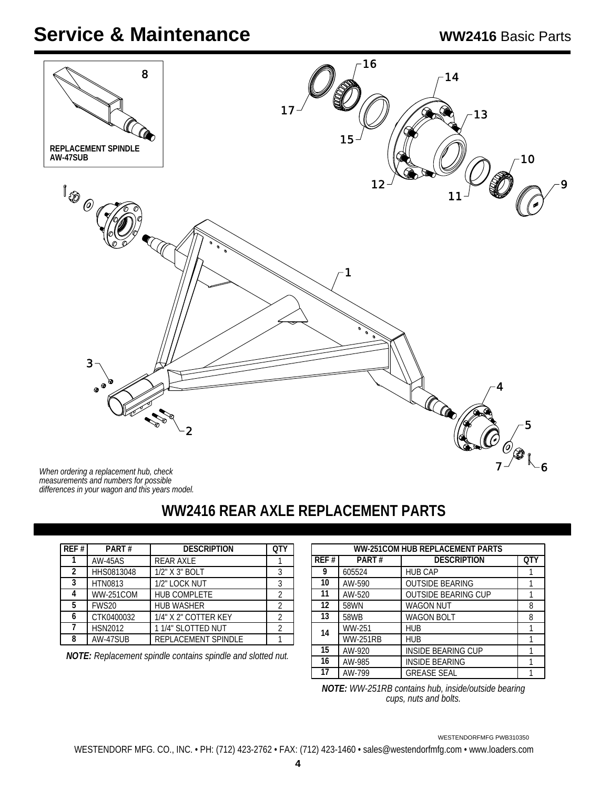

*differences in your wagon and this years model. measurements and numbers for possible When ordering a replacement hub, check*

# **WW2416 REAR AXLE REPLACEMENT PARTS**

| REF # | PART#            | <b>DESCRIPTION</b>   | OTY |
|-------|------------------|----------------------|-----|
|       | <b>AW-45AS</b>   | <b>REAR AXLE</b>     |     |
| 2     | HHS0813048       | 1/2" X 3" BOLT       |     |
| 3     | <b>HTN0813</b>   | 1/2" LOCK NUT        |     |
| 4     | <b>WW-251COM</b> | <b>HUB COMPLETE</b>  |     |
| 5     | FWS20            | <b>HUB WASHER</b>    |     |
| 6     | CTK0400032       | 1/4" X 2" COTTER KEY |     |
|       | <b>HSN2012</b>   | 11/4" SLOTTED NUT    |     |
| 8     | AW-47SUB         | REPLACEMENT SPINDLE  |     |

*NOTE: Replacement spindle contains spindle and slotted nut.*

|                   | <b>WW-251COM HUB REPLACEMENT PARTS</b> |                            |            |  |
|-------------------|----------------------------------------|----------------------------|------------|--|
| REF#              | PART#                                  | <b>DESCRIPTION</b>         | <b>OTY</b> |  |
| 9                 | 605524                                 | <b>HUB CAP</b>             |            |  |
| 10                | AW-590                                 | <b>OUTSIDE BEARING</b>     |            |  |
| 11                | AW-520                                 | <b>OUTSIDE BEARING CUP</b> |            |  |
| $12 \overline{ }$ | 58WN                                   | <b>WAGON NUT</b>           | 8          |  |
| 13                | 58WB                                   | <b>WAGON BOLT</b>          | 8          |  |
| 14                | WW-251                                 | <b>HUB</b>                 |            |  |
|                   | <b>WW-251RB</b>                        | <b>HUB</b>                 |            |  |
| 15                | AW-920                                 | <b>INSIDE BEARING CUP</b>  |            |  |
| 16                | AW-985                                 | <b>INSIDE BEARING</b>      |            |  |
| 17                | AW-799                                 | <b>GREASE SEAL</b>         |            |  |

*WW-251RB contains hub, inside/outside bearing NOTE: cups, nuts and bolts.*

WESTENDORFMFG PWB310350

WESTENDORF MFG. CO., INC. • PH: (712) 423-2762 • FAX: (712) 423-1460 • sales@westendorfmfg.com • www.loaders.com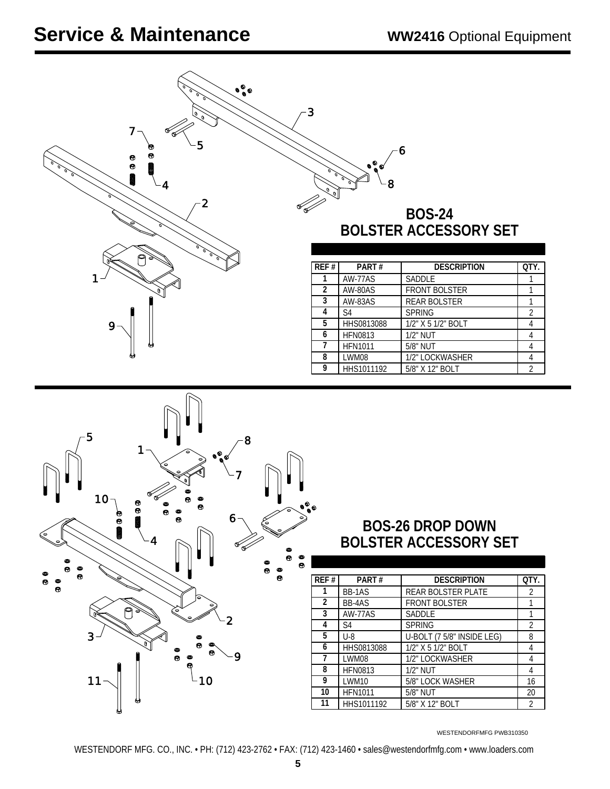| $\mathfrak{o}^{\mathfrak{g}}_{\mathfrak{o}}\mathfrak{o}$<br>7.<br>5<br>Θ<br>Θ<br><b>888</b><br>$\overline{\mathbf{2}}$                | 3<br>6<br>$\bullet$<br><b>BOS-24</b><br><b>BOLSTER ACCESSORY SET</b>                                                   |                          |
|---------------------------------------------------------------------------------------------------------------------------------------|------------------------------------------------------------------------------------------------------------------------|--------------------------|
|                                                                                                                                       | <b>DESCRIPTION</b><br>REF#<br>PART#                                                                                    | QTY.                     |
| 1                                                                                                                                     | 1<br>AW-77AS<br>SADDLE                                                                                                 | 1                        |
|                                                                                                                                       | $\overline{2}$<br><b>FRONT BOLSTER</b><br>AW-80AS                                                                      | 1                        |
|                                                                                                                                       | 3<br>AW-83AS<br>REAR BOLSTER<br>4<br>$\overline{\mathsf{S}4}$<br><b>SPRING</b>                                         | 1<br>$\overline{2}$      |
| 9                                                                                                                                     | 5<br>HHS0813088<br>1/2" X 5 1/2" BOLT                                                                                  | $\overline{4}$           |
|                                                                                                                                       | 1/2" NUT<br>6<br><b>HFN0813</b>                                                                                        | 4                        |
|                                                                                                                                       | 7<br>5/8" NUT<br><b>HFN1011</b>                                                                                        | $\overline{4}$           |
|                                                                                                                                       | 8<br>LWM08<br>1/2" LOCKWASHER<br>9                                                                                     | $\sqrt{4}$               |
|                                                                                                                                       | HHS1011192<br>5/8" X 12" BOLT                                                                                          | $\overline{2}$           |
|                                                                                                                                       |                                                                                                                        |                          |
| 5<br>8<br>$\bullet\hspace{-.05cm}{\bullet}$<br>10 <sub>1</sub><br>Θ<br>Θ<br><b>BBB</b><br>6<br>$\bullet$<br>$\approx$<br>$\circ$<br>o | $\bullet^\circ_\bullet\circ$<br><b>BOS-26 DROP DOWN</b><br><b>BOLSTER ACCESSORY SET</b><br>Θ<br>$\bullet$<br>$\bullet$ |                          |
| Θ                                                                                                                                     | Θ<br><b>DESCRIPTION</b><br>REF#<br>PART#                                                                               | QTY.                     |
| Θ                                                                                                                                     | BB-1AS<br>REAR BOLSTER PLATE<br>1                                                                                      | $\sqrt{2}$               |
|                                                                                                                                       | $\overline{2}$<br>BB-4AS<br>FRONT BOLSTER                                                                              | $\mathbf{1}$             |
| ⊘<br>2                                                                                                                                | 3<br>AW-77AS<br><b>SADDLE</b>                                                                                          | $\mathbf{1}$             |
|                                                                                                                                       | 4<br>S4<br><b>SPRING</b>                                                                                               | $\overline{2}$           |
| $\mathbf{3}$                                                                                                                          | $\overline{5}$<br>$U-8$<br>U-BOLT (7 5/8" INSIDE LEG)<br>6                                                             | 8<br>$\overline{4}$      |
| A<br>Θ                                                                                                                                | HHS0813088<br>1/2" X 5 1/2" BOLT<br>7<br>LWM08<br>1/2" LOCKWASHER                                                      | $\overline{4}$           |
|                                                                                                                                       | 8<br><b>HFN0813</b><br>1/2" NUT                                                                                        | 4                        |
| 11<br>10                                                                                                                              | 9<br>LWM10<br>5/8" LOCK WASHER                                                                                         | 16                       |
|                                                                                                                                       | 10<br>5/8" NUT<br><b>HFN1011</b><br>$\overline{11}$<br>HHS1011192<br>5/8" X 12" BOLT                                   | $20\,$<br>$\overline{2}$ |

WESTENDORFMFG PWB310350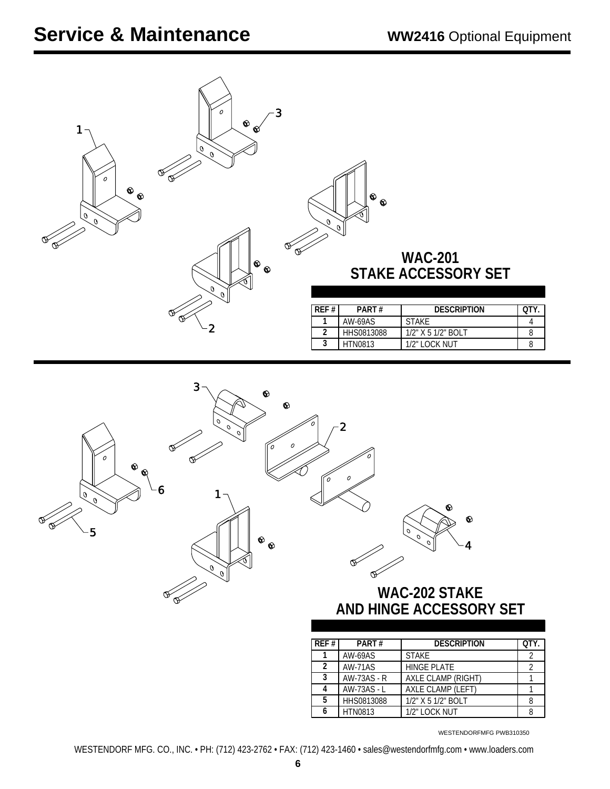| $\cal O$<br>3<br>$\pmb{\hat{\infty}}$<br>1<br>ଝ<br>$\widetilde{\mathcal{O}}$<br>$\cal O$<br>$\circledast$<br>$\bullet$<br>$\overline{\mathscr{C}}$<br>$\begin{smallmatrix} &\circ &\circ\end{smallmatrix}$<br>$\sqrt{\theta}$<br>2     | $\circ$<br>$\sqrt{\theta}$<br><b>WAC-201</b><br>STAKE ACCESSORY SET<br><b>DESCRIPTION</b><br>PART#<br>REF#<br>QTY.<br><b>AW-69AS</b><br><b>STAKE</b><br>1<br>4<br>$\overline{2}$<br>HHS0813088<br>1/2" X 5 1/2" BOLT<br>8<br>$\overline{3}$<br>1/2" LOCK NUT<br><b>HTN0813</b><br>8                                                                                                                                                                                                   |
|----------------------------------------------------------------------------------------------------------------------------------------------------------------------------------------------------------------------------------------|---------------------------------------------------------------------------------------------------------------------------------------------------------------------------------------------------------------------------------------------------------------------------------------------------------------------------------------------------------------------------------------------------------------------------------------------------------------------------------------|
| 3<br>$\circledast$<br>$\pmb{\hat{\infty}}$<br>$\mathcal{O}$<br>$\sigma$<br>O<br>0<br>$\mathcal{O}$<br>$\cal O$<br>$\hat{\mathbf{v}}$<br>6<br>$\widetilde{\mathcal{A}}$<br>DE<br>-5<br>$^\circledR$<br>$\frac{1}{\sqrt{\frac{1}{100}}}$ | 0<br>$\overline{\mathbf{2}}$<br>$\mathcal{O}$<br>0<br>$\odot$<br>♦<br>$\mathcal{O}$<br>$\mathfrak{o}$<br>$\mathcal{O}$<br>4<br><b>WAC-202 STAKE</b><br>AND HINGE ACCESSORY SET<br>REF#<br>PART#<br><b>DESCRIPTION</b><br>QTY.<br>1<br>AW-69AS<br><b>STAKE</b><br>$\overline{2}$<br><b>AW-71AS</b><br>$\overline{2}$<br>2<br><b>HINGE PLATE</b><br>$\overline{3}$<br><b>AW-73AS - R</b><br>AXLE CLAMP (RIGHT)<br>$\mathbf{1}$<br>AW-73AS - L<br>AXLE CLAMP (LEFT)<br>4<br>$\mathbf{1}$ |

WESTENDORFMFG PWB310350

5 | HHS0813088 | 1/2" X 5 1/2" BOLT | 8 HTN0813 1/2" LOCK NUT 8